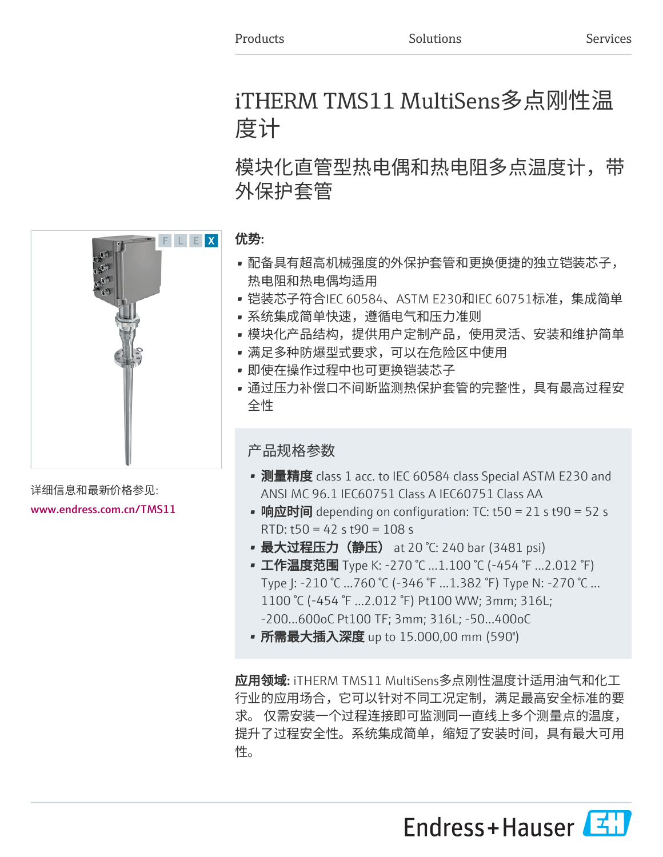# iTHERM TMS11 MultiSens多点刚性温 度计

# 模块化直管型热电偶和热电阻多点温度计,带 外保护套管

#### 优势:

- 配备具有超高机械强度的外保护套管和更换便捷的独立铠装芯子, 热电阻和热电偶均适用
- 铠装芯子符合IEC 60584、ASTM E230和IEC 60751标准,集成简单
- 系统集成简单快速,遵循电气和压力准则
- 模块化产品结构,提供用户定制产品,使用灵活、安装和维护简单
- 满足多种防爆型式要求,可以在危险区中使用
- 即使在操作过程中也可更换铠装芯子
- 通过压力补偿口不间断监测热保护套管的完整性,具有最高过程安 全性

### 产品规格参数

- 测量精度 class 1 acc. to IEC 60584 class Special ASTM E230 and ANSI MC 96.1 IEC60751 Class A IEC60751 Class AA
- 响应时间 depending on configuration: TC: t50 = 21 s t90 = 52 s RTD: t50 = 42 s t90 = 108 s
- 最大过程压力(静压) at 20 °C: 240 bar (3481 psi)
- 工作温度范围 Type K: -270 ℃ ...1.100 ℃ (-454 ℉ ...2.012 ℉) Type J: -210 °C ...760 °C (-346 °F ...1.382 °F) Type N: -270 °C … 1100 °C (-454 °F ...2.012 °F) Pt100 WW; 3mm; 316L; -200...600oC Pt100 TF; 3mm; 316L; -50…400oC
- 所需最大插入深度 up to 15.000,00 mm (590")

应用领域: iTHERM TMS11 MultiSens多点刚性温度计适用油气和化工 行业的应用场合,它可以针对不同工况定制,满足最高安全标准的要 求。 仅需安装一个过程连接即可监测同一直线上多个测量点的温度, 提升了过程安全性。系统集成简单,缩短了安装时间,具有最大可用 性。





详细信息和最新价格参见: [www.endress.com.cn/TMS11](https://www.endress.com.cn/TMS11)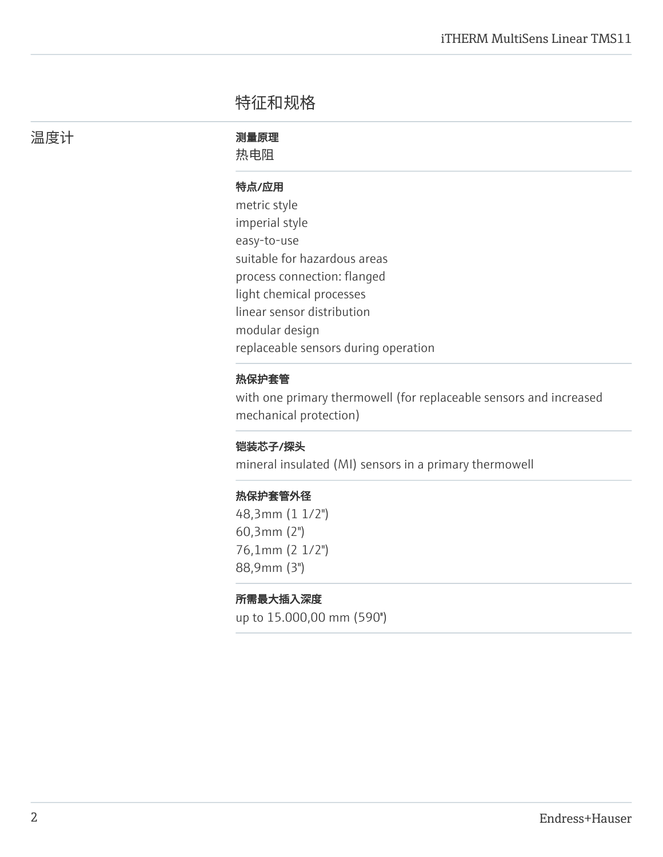## 特征和规格

温度计 あいしん アンチン 測量原理

热电阻

#### 特点/应用

metric style imperial style easy-to-use suitable for hazardous areas process connection: flanged light chemical processes linear sensor distribution modular design replaceable sensors during operation

#### 热保护套管

with one primary thermowell (for replaceable sensors and increased mechanical protection)

#### 铠装芯子/探头

mineral insulated (MI) sensors in a primary thermowell

#### 热保护套管外径

48,3mm (1 1/2") 60,3mm (2") 76,1mm (2 1/2") 88,9mm (3")

#### 所需最大插入深度

up to 15.000,00 mm (590'')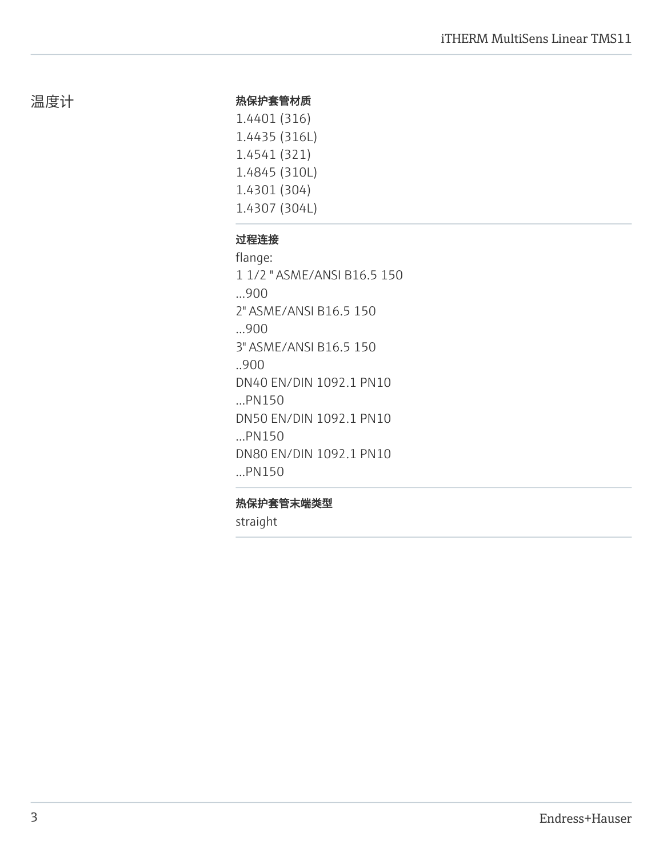#### 热保护套管材质

1.4401 (316) 1.4435 (316L) 1.4541 (321) 1.4845 (310L) 1.4301 (304) 1.4307 (304L)

#### 过程连接

flange: 1 1/2 " ASME/ANSI B16.5 150 ...900 2" ASME/ANSI B16.5 150 ...900 3" ASME/ANSI B16.5 150 ..900 DN40 EN/DIN 1092.1 PN10 ...PN150 DN50 EN/DIN 1092.1 PN10 ...PN150 DN80 EN/DIN 1092.1 PN10 ...PN150

#### 热保护套管末端类型

straight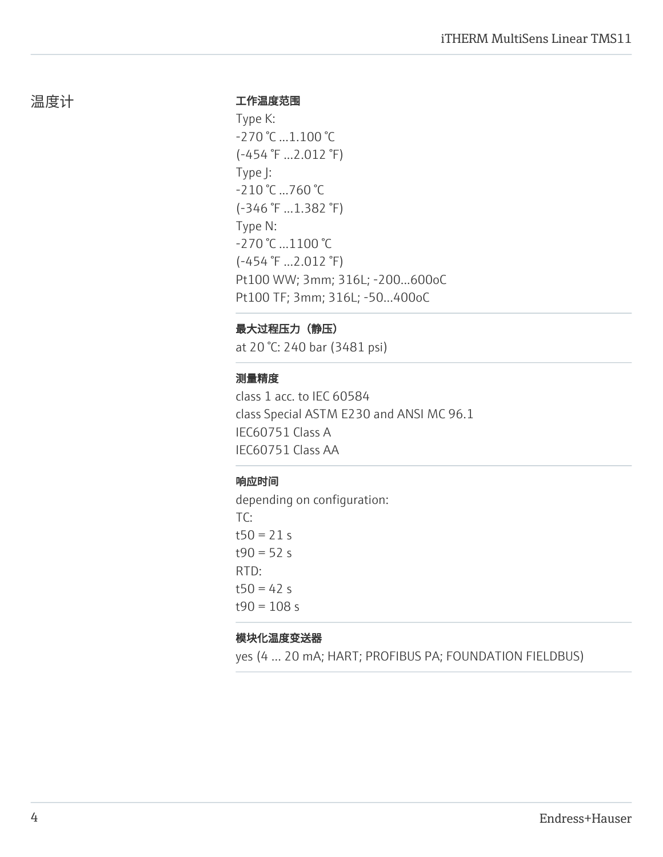#### 工作温度范围

Type K: -270 °C ...1.100 °C (-454 °F ...2.012 °F) Type J: -210 °C ...760 °C (-346 °F ...1.382 °F) Type N: -270 °C …1100 °C (-454 °F ...2.012 °F) Pt100 WW; 3mm; 316L; -200...600oC Pt100 TF; 3mm; 316L; -50…400oC

#### 最大过程压力(静压)

at 20 °C: 240 bar (3481 psi)

#### 测量精度

class 1 acc. to IEC 60584 class Special ASTM E230 and ANSI MC 96.1 IEC60751 Class A IEC60751 Class AA

#### 响应时间

depending on configuration: TC:  $t50 = 21 s$  $t90 = 52 s$ RTD:  $t50 = 42 s$  $t90 = 108 s$ 

#### 模块化温度变送器

yes (4 … 20 mA; HART; PROFIBUS PA; FOUNDATION FIELDBUS)